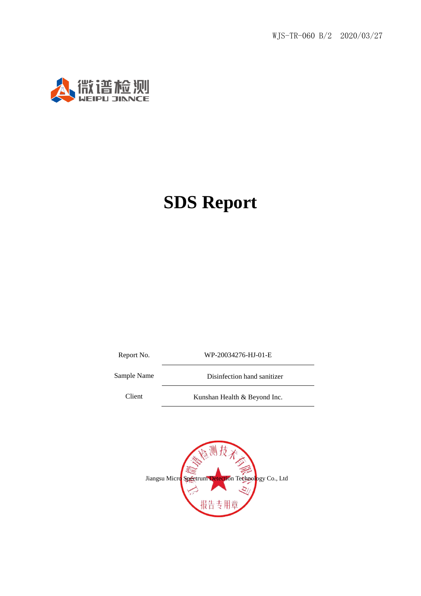

Report No. WP-20034276-HJ-01-E

Sample Name Disinfection hand sanitizer

Client Kunshan Health & Beyond Inc.

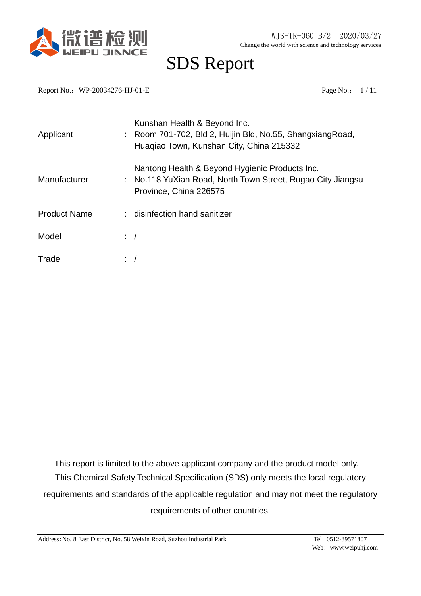

Report No.: WP-20034276-HJ-01-E Page No.: 1/11

| Applicant           |           | Kunshan Health & Beyond Inc.<br>Room 701-702, Bld 2, Huijin Bld, No.55, ShangxiangRoad,<br>Huaqiao Town, Kunshan City, China 215332     |
|---------------------|-----------|-----------------------------------------------------------------------------------------------------------------------------------------|
| Manufacturer        |           | Nantong Health & Beyond Hygienic Products Inc.<br>: No.118 YuXian Road, North Town Street, Rugao City Jiangsu<br>Province, China 226575 |
| <b>Product Name</b> |           | disinfection hand sanitizer                                                                                                             |
| Model               | $\cdot$ / |                                                                                                                                         |
| Trade               |           |                                                                                                                                         |

This report is limited to the above applicant company and the product model only. This Chemical Safety Technical Specification (SDS) only meets the local regulatory requirements and standards of the applicable regulation and may not meet the regulatory requirements of other countries.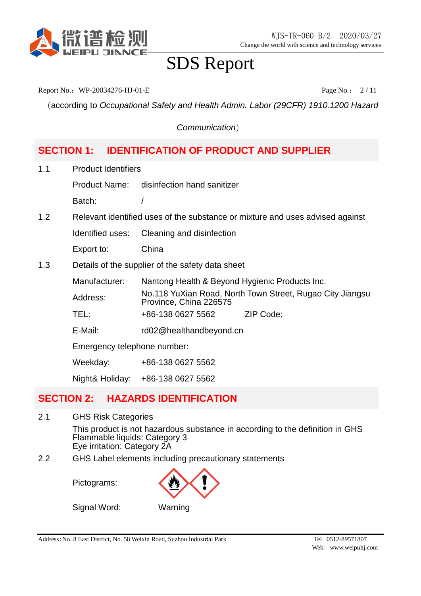

Report No.: WP-20034276-HJ-01-E Page No.: 2/11

(according to *Occupational Safety and Health Admin. Labor (29CFR) 1910.1200 Hazard* 

*Communication*)

### **SECTION 1: IDENTIFICATION OF PRODUCT AND SUPPLIER**

1.1 Product Identifiers

Product Name: disinfection hand sanitizer

Batch: /

1.2 Relevant identified uses of the substance or mixture and uses advised against

Identified uses: Cleaning and disinfection

Export to: China

1.3 Details of the supplier of the safety data sheet

Manufacturer: Nantong Health & Beyond Hygienic Products Inc. Address: No.118 YuXian Road, North Town Street, Rugao City Jiangsu Province, China 226575 TEL: +86-138 0627 5562 ZIP Code:

- 
- E-Mail: rd02@healthandbeyond.cn

Emergency telephone number:

Weekday: +86-138 0627 5562

Night& Holiday: +86-138 0627 5562

### **SECTION 2: HAZARDS IDENTIFICATION**

- 2.1 GHS Risk Categories This product is not hazardous substance in according to the definition in GHS Flammable liquids: Category 3 Eye irritation: Category 2A
- 2.2 GHS Label elements including precautionary statements

Pictograms:

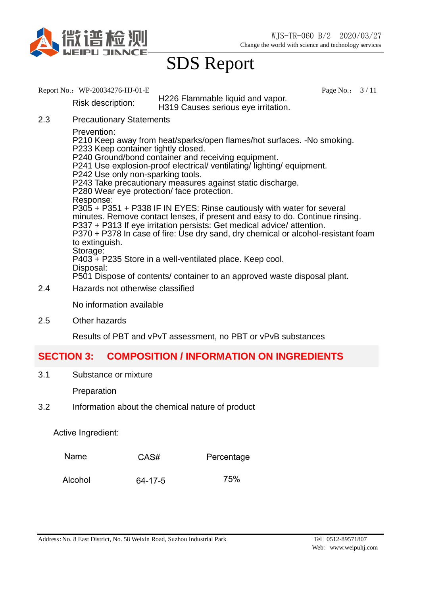

- Report No.: WP-20034276-HJ-01-E Page No.: 3/11 Risk description: H226 Flammable liquid and vapor. H319 Causes serious eye irritation. 2.3 Precautionary Statements Prevention: P210 Keep away from heat/sparks/open flames/hot surfaces. -No smoking. P233 Keep container tightly closed. P240 Ground/bond container and receiving equipment. P241 Use explosion-proof electrical/ ventilating/ lighting/ equipment. P242 Use only non-sparking tools. P243 Take precautionary measures against static discharge. P280 Wear eye protection/ face protection. Response: P305 + P351 + P338 IF IN EYES: Rinse cautiously with water for several minutes. Remove contact lenses, if present and easy to do. Continue rinsing. P337 + P313 If eye irritation persists: Get medical advice/ attention. P370 + P378 In case of fire: Use dry sand, dry chemical or alcohol-resistant foam to extinguish. Storage: P403 + P235 Store in a well-ventilated place. Keep cool. Disposal: P501 Dispose of contents/ container to an approved waste disposal plant.
- 2.4 Hazards not otherwise classified

No information available

2.5 Other hazards

Results of PBT and vPvT assessment, no PBT or vPvB substances

#### **SECTION 3: COMPOSITION / INFORMATION ON INGREDIENTS**

3.1 Substance or mixture

Preparation

3.2 Information about the chemical nature of product

Active Ingredient:

| Name<br>CAS# | Percentage |
|--------------|------------|
|--------------|------------|

Alcohol 64-17-5 75%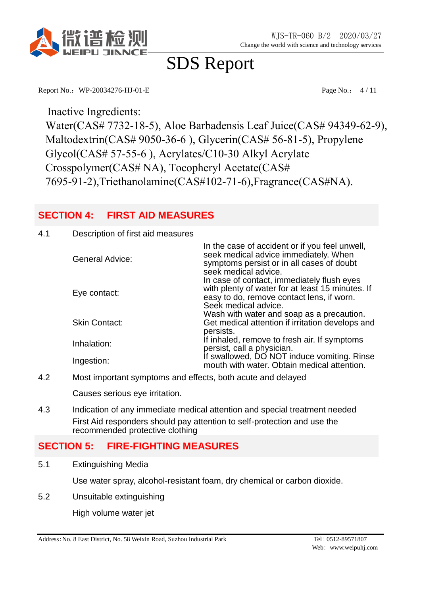

Report No.: WP-20034276-HJ-01-E Page No.: 4/11

Inactive Ingredients:

Water(CAS# 7732-18-5), Aloe Barbadensis Leaf Juice(CAS# 94349-62-9), Maltodextrin(CAS# 9050-36-6 ), Glycerin(CAS# 56-81-5), Propylene Glycol(CAS# 57-55-6 ), Acrylates/C10-30 Alkyl Acrylate Crosspolymer(CAS# NA), Tocopheryl Acetate(CAS# 7695-91-2),Triethanolamine(CAS#102-71-6),Fragrance(CAS#NA).

### **SECTION 4: FIRST AID MEASURES**

#### 4.1 Description of first aid measures

| <b>General Advice:</b> | In the case of accident or if you feel unwell,<br>seek medical advice immediately. When<br>symptoms persist or in all cases of doubt<br>seek medical advice.        |
|------------------------|---------------------------------------------------------------------------------------------------------------------------------------------------------------------|
| Eye contact:           | In case of contact, immediately flush eyes<br>with plenty of water for at least 15 minutes. If<br>easy to do, remove contact lens, if worn.<br>Seek medical advice. |
| <b>Skin Contact:</b>   | Wash with water and soap as a precaution.<br>Get medical attention if irritation develops and<br>persists.                                                          |
| Inhalation:            | If inhaled, remove to fresh air. If symptoms<br>persist, call a physician.                                                                                          |
| Ingestion:             | If swallowed, DO NOT induce vomiting. Rinse<br>mouth with water. Obtain medical attention.                                                                          |

4.2 Most important symptoms and effects, both acute and delayed

Causes serious eye irritation.

4.3 Indication of any immediate medical attention and special treatment needed First Aid responders should pay attention to self-protection and use the recommended protective clothing

#### **SECTION 5: FIRE-FIGHTING MEASURES**

5.1 Extinguishing Media

Use water spray, alcohol-resistant foam, dry chemical or carbon dioxide.

5.2 Unsuitable extinguishing

High volume water jet

Address:No. 8 East District, No. 58 Weixin Road, Suzhou Industrial Park Tel:0512-89571807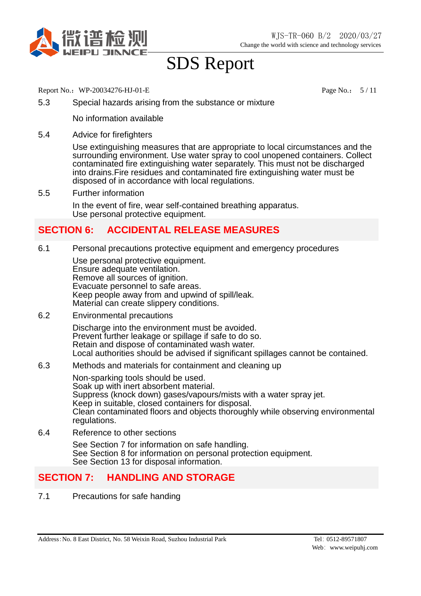

Report No.: WP-20034276-HJ-01-E Page No.: 5/11

5.3 Special hazards arising from the substance or mixture

No information available

5.4 Advice for firefighters

Use extinguishing measures that are appropriate to local circumstances and the surrounding environment. Use water spray to cool unopened containers. Collect contaminated fire extinguishing water separately. This must not be discharged into drains. Fire residues and contaminated fire extinguishing water must be disposed of in accordance with local regulations.

5.5 Further information In the event of fire, wear self-contained breathing apparatus. Use personal protective equipment.

### **SECTION 6: ACCIDENTAL RELEASE MEASURES**

6.1 Personal precautions protective equipment and emergency procedures

Use personal protective equipment. Ensure adequate ventilation. Remove all sources of ignition. Evacuate personnel to safe areas. Keep people away from and upwind of spill/leak. Material can create slippery conditions.

6.2 Environmental precautions

Discharge into the environment must be avoided. Prevent further leakage or spillage if safe to do so. Retain and dispose of contaminated wash water. Local authorities should be advised if significant spillages cannot be contained.

6.3 Methods and materials for containment and cleaning up

Non-sparking tools should be used. Soak up with inert absorbent material. Suppress (knock down) gases/vapours/mists with a water spray jet. Keep in suitable, closed containers for disposal. Clean contaminated floors and objects thoroughly while observing environmental regulations.

6.4 Reference to other sections

See Section 7 for information on safe handling. See Section 8 for information on personal protection equipment. See Section 13 for disposal information.

### **SECTION 7: HANDLING AND STORAGE**

7.1 Precautions for safe handing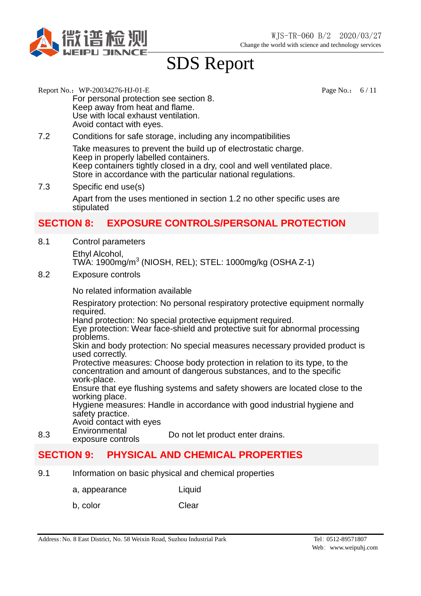

- Report No.: WP-20034276-HJ-01-E Page No.: 6/11 For personal protection see section 8. Keep away from heat and flame. Use with local exhaust ventilation. Avoid contact with eyes.
- 7.2 Conditions for safe storage, including any incompatibilities

Take measures to prevent the build up of electrostatic charge. Keep in properly labelled containers. Keep containers tightly closed in a dry, cool and well ventilated place. Store in accordance with the particular national regulations.

7.3 Specific end use(s)

Apart from the uses mentioned in section 1.2 no other specific uses are stipulated

### **SECTION 8: EXPOSURE CONTROLS/PERSONAL PROTECTION**

8.1 Control parameters Ethyl Alcohol,

TWA: 1900mg/m<sup>3</sup> (NIOSH, REL); STEL: 1000mg/kg (OSHA Z-1)

8.2 Exposure controls

No related information available

Respiratory protection: No personal respiratory protective equipment normally required.

Hand protection: No special protective equipment required.

Eye protection: Wear face-shield and protective suit for abnormal processing problems.

Skin and body protection: No special measures necessary provided product is used correctly.

Protective measures: Choose body protection in relation to its type, to the concentration and amount of dangerous substances, and to the specific work-place.

Ensure that eye flushing systems and safety showers are located close to the working place.

Hygiene measures: Handle in accordance with good industrial hygiene and safety practice.

- Avoid contact with eyes
- 8.3 Environmental<br>exposure controls Do not let product enter drains.

### **SECTION 9: PHYSICAL AND CHEMICAL PROPERTIES**

- 9.1 Information on basic physical and chemical properties
	- a, appearance Liquid
	- b, color Clear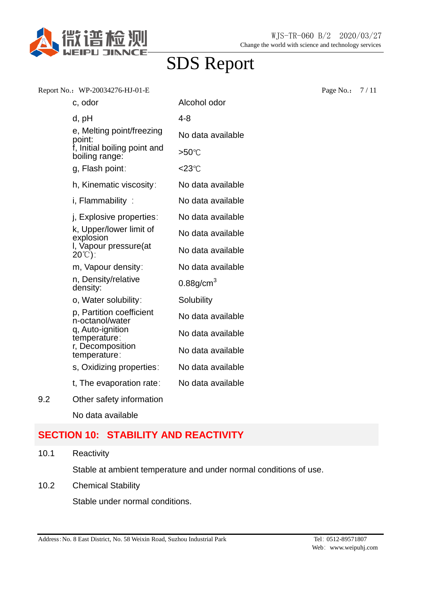

|     | Report No.: WP-20034276-HJ-01-E                  |                          | Page No.: | 7/11 |
|-----|--------------------------------------------------|--------------------------|-----------|------|
|     | c, odor                                          | Alcohol odor             |           |      |
|     | d, pH                                            | $4 - 8$                  |           |      |
|     | e, Melting point/freezing<br>point:              | No data available        |           |      |
|     | f, Initial boiling point and<br>boiling range:   | >50℃                     |           |      |
|     | g, Flash point:                                  | $<$ 23 $^{\circ}$ C      |           |      |
|     | h, Kinematic viscosity:                          | No data available        |           |      |
|     | i, Flammability:                                 | No data available        |           |      |
|     | j, Explosive properties:                         | No data available        |           |      |
|     | k, Upper/lower limit of<br>explosion             | No data available        |           |      |
|     | I, Vapour pressure(at<br>$20^{\circ}$ $\circ$ ): | No data available        |           |      |
|     | m, Vapour density:                               | No data available        |           |      |
|     | n, Density/relative<br>density:                  | $0.88$ g/cm <sup>3</sup> |           |      |
|     | o, Water solubility:                             | Solubility               |           |      |
|     | p, Partition coefficient<br>n-octanol/water      | No data available        |           |      |
|     | q, Auto-ignition<br>temperature:                 | No data available        |           |      |
|     | r, Decomposition<br>temperature:                 | No data available        |           |      |
|     | s, Oxidizing properties:                         | No data available        |           |      |
|     | t, The evaporation rate:                         | No data available        |           |      |
| 9.2 | Other safety information                         |                          |           |      |
|     | No data available                                |                          |           |      |

### **SECTION 10: STABILITY AND REACTIVITY**

10.1 Reactivity

Stable at ambient temperature and under normal conditions of use.

10.2 Chemical Stability

Stable under normal conditions.

Address: No. 8 East District, No. 58 Weixin Road, Suzhou Industrial Park Tel: 0512-89571807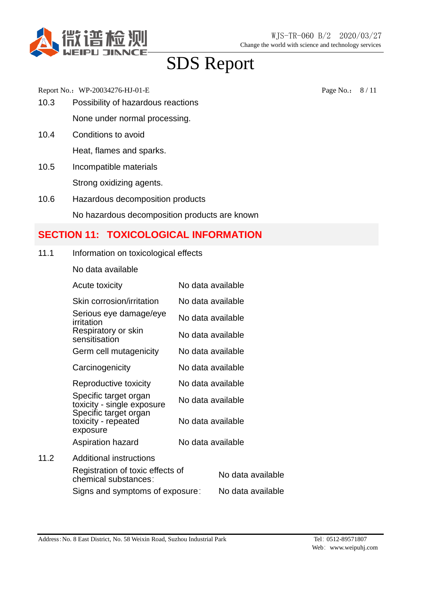

Report No.: WP-20034276-HJ-01-E Page No.: 8/11

- 10.3 Possibility of hazardous reactions None under normal processing.
- 10.4 Conditions to avoid

Heat, flames and sparks.

- 10.5 Incompatible materials Strong oxidizing agents.
- 10.6 Hazardous decomposition products

No hazardous decomposition products are known

### **SECTION 11: TOXICOLOGICAL INFORMATION**

- 11.1 Information on toxicological effects
	- No data available

|      | Acute toxicity                                           | No data available |                   |
|------|----------------------------------------------------------|-------------------|-------------------|
|      | Skin corrosion/irritation                                | No data available |                   |
|      | Serious eye damage/eye<br>irritation                     | No data available |                   |
|      | Respiratory or skin<br>sensitisation                     | No data available |                   |
|      | Germ cell mutagenicity                                   | No data available |                   |
|      | Carcinogenicity                                          | No data available |                   |
|      | Reproductive toxicity                                    | No data available |                   |
|      | Specific target organ<br>toxicity - single exposure      | No data available |                   |
|      | Specific target organ<br>toxicity - repeated<br>exposure | No data available |                   |
|      | Aspiration hazard                                        | No data available |                   |
| 11.2 | <b>Additional instructions</b>                           |                   |                   |
|      | Registration of toxic effects of<br>chemical substances: |                   | No data available |
|      | Signs and symptoms of exposure:                          |                   | No data available |
|      |                                                          |                   |                   |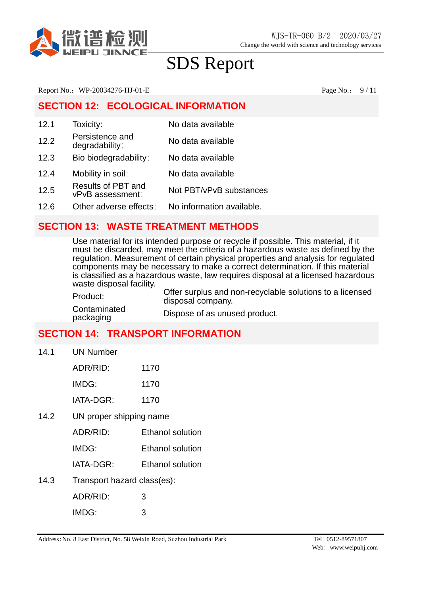

Report No.: WP-20034276-HJ-01-E Page No.: 9/11

### **SECTION 12: ECOLOGICAL INFORMATION**

| 12.1 | Toxicity:                              | No data available         |
|------|----------------------------------------|---------------------------|
| 12.2 | Persistence and<br>degradability:      | No data available         |
| 12.3 | Bio biodegradability:                  | No data available         |
| 12.4 | Mobility in soil:                      | No data available         |
| 12.5 | Results of PBT and<br>vPvB assessment: | Not PBT/vPvB substances   |
| 12.6 | Other adverse effects:                 | No information available. |

### **SECTION 13: WASTE TREATMENT METHODS**

Use material for its intended purpose or recycle if possible. This material, if it must be discarded, may meet the criteria of a hazardous waste as defined by the regulation. Measurement of certain physical properties and analysis for regulated components may be necessary to make a correct determination. If this material is classified as a hazardous waste, law requires disposal at a licensed hazardous waste disposal facility.

| Product:                  | Offer surplus and non-recyclable solutions to a licensed<br>disposal company. |
|---------------------------|-------------------------------------------------------------------------------|
| Contaminated<br>packaging | Dispose of as unused product.                                                 |

### **SECTION 14: TRANSPORT INFORMATION**

14.1 UN Number

 $14.2$ 

| ADR/RID:                | 1170                    |
|-------------------------|-------------------------|
| IMDG:                   | 1170                    |
| IATA-DGR:               | 1170                    |
| UN proper shipping name |                         |
| ADR/RID:                | <b>Ethanol solution</b> |
| IMDG:                   | <b>Ethanol solution</b> |
|                         |                         |

- IATA-DGR: Ethanol solution
- 14.3 Transport hazard class(es):

| ADR/RID: | 3 |
|----------|---|
| IMDG:    | 3 |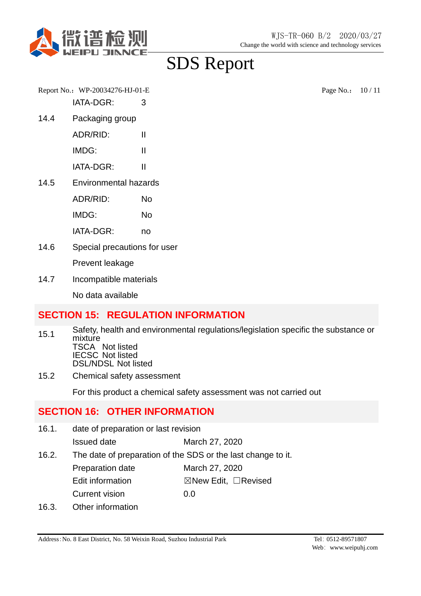

Report No.: WP-20034276-HJ-01-E Page No.: 10 / 11 IATA-DGR: 3

14.4 Packaging group

ADR/RID: II IMDG: II

IATA-DGR: II

14.5 Environmental hazards

ADR/RID: No IMDG: No

IATA-DGR: no

14.6 Special precautions for user

Prevent leakage

14.7 Incompatible materials

No data available

### **SECTION 15: REGULATION INFORMATION**

- 15.1 Safety, health and environmental regulations/legislation specific the substance or mixture TSCA Not listed IECSC Not listed DSL/NDSL Not listed
- 15.2 Chemical safety assessment

For this product a chemical safety assessment was not carried out

### **SECTION 16: OTHER INFORMATION**

16.1. date of preparation or last revision Issued date March 27, 2020 16.2. The date of preparation of the SDS or the last change to it. Preparation date March 27, 2020 Edit information **⊠New Edit, □Revised** Current vision 0.0 16.3. Other information